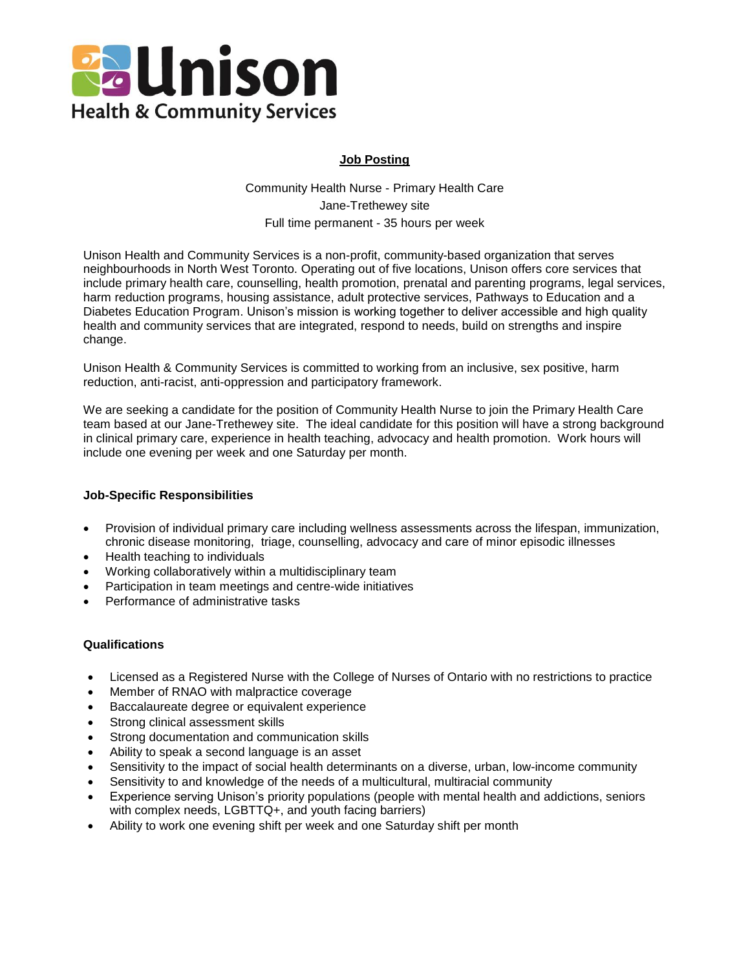

# **Job Posting**

Community Health Nurse - Primary Health Care Jane-Trethewey site Full time permanent - 35 hours per week

Unison Health and Community Services is a non-profit, community-based organization that serves neighbourhoods in North West Toronto. Operating out of five locations, Unison offers core services that include primary health care, counselling, health promotion, prenatal and parenting programs, legal services, harm reduction programs, housing assistance, adult protective services, Pathways to Education and a Diabetes Education Program. Unison's mission is working together to deliver accessible and high quality health and community services that are integrated, respond to needs, build on strengths and inspire change.

Unison Health & Community Services is committed to working from an inclusive, sex positive, harm reduction, anti-racist, anti-oppression and participatory framework.

We are seeking a candidate for the position of Community Health Nurse to join the Primary Health Care team based at our Jane-Trethewey site. The ideal candidate for this position will have a strong background in clinical primary care, experience in health teaching, advocacy and health promotion. Work hours will include one evening per week and one Saturday per month.

#### **Job-Specific Responsibilities**

- Provision of individual primary care including wellness assessments across the lifespan, immunization, chronic disease monitoring, triage, counselling, advocacy and care of minor episodic illnesses
- Health teaching to individuals
- Working collaboratively within a multidisciplinary team
- Participation in team meetings and centre-wide initiatives
- Performance of administrative tasks

## **Qualifications**

- Licensed as a Registered Nurse with the College of Nurses of Ontario with no restrictions to practice
- Member of RNAO with malpractice coverage
- Baccalaureate degree or equivalent experience
- Strong clinical assessment skills
- Strong documentation and communication skills
- Ability to speak a second language is an asset
- Sensitivity to the impact of social health determinants on a diverse, urban, low-income community
- Sensitivity to and knowledge of the needs of a multicultural, multiracial community
- Experience serving Unison's priority populations (people with mental health and addictions, seniors with complex needs, LGBTTQ+, and youth facing barriers)
- Ability to work one evening shift per week and one Saturday shift per month